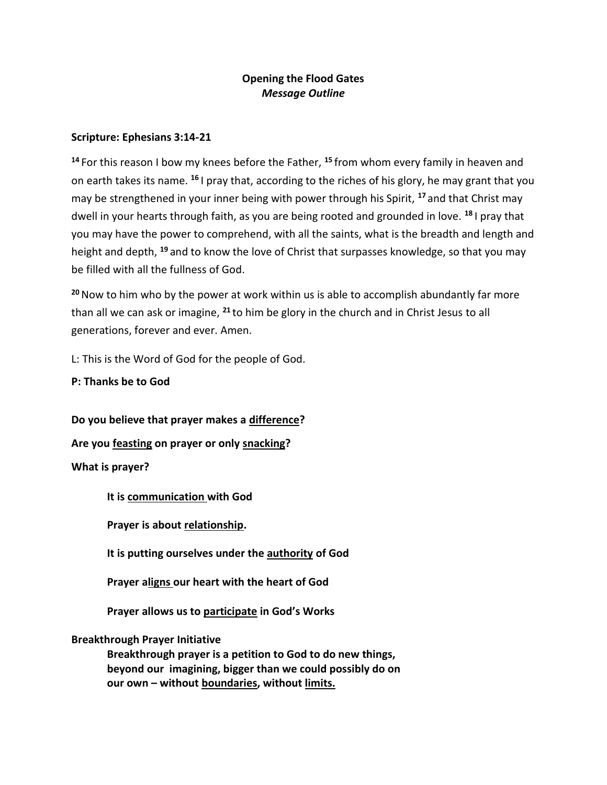# **Opening the Flood Gates** *Message Outline*

# **Scripture: Ephesians 3:14-21**

**<sup>14</sup>** For this reason I bow my knees before the Father, **<sup>15</sup>** from whom every family in heaven and on earth takes its name. **<sup>16</sup>** I pray that, according to the riches of his glory, he may grant that you may be strengthened in your inner being with power through his Spirit, **<sup>17</sup>** and that Christ may dwell in your hearts through faith, as you are being rooted and grounded in love. **<sup>18</sup>** I pray that you may have the power to comprehend, with all the saints, what is the breadth and length and height and depth, **<sup>19</sup>** and to know the love of Christ that surpasses knowledge, so that you may be filled with all the fullness of God.

**<sup>20</sup>**Now to him who by the power at work within us is able to accomplish abundantly far more than all we can ask or imagine, **<sup>21</sup>** to him be glory in the church and in Christ Jesus to all generations, forever and ever. Amen.

L: This is the Word of God for the people of God.

**P: Thanks be to God**

**Do you believe that prayer makes a difference?** 

**Are you feasting on prayer or only snacking?**

**What is prayer?**

**It is communication with God**

**Prayer is about relationship.**

**It is putting ourselves under the authority of God**

**Prayer aligns our heart with the heart of God**

**Prayer allows us to participate in God's Works**

# **Breakthrough Prayer Initiative**

**Breakthrough prayer is a petition to God to do new things, beyond our imagining, bigger than we could possibly do on our own – without boundaries, without limits.**